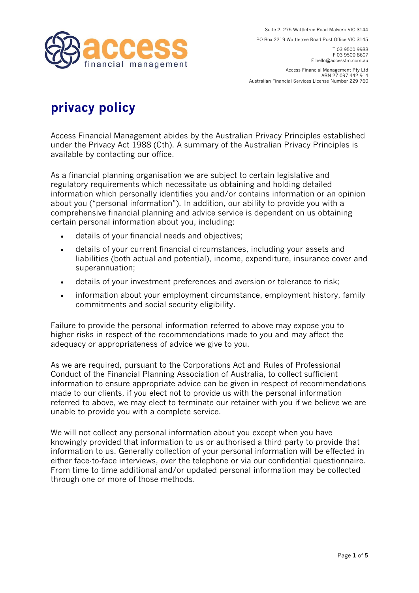

**PO Box 2219 Wattletree Road Post Office VIC 3145** 

**T 03 9500 9988 F 03 9500 8607 E hello@accessfm.com.au** 

**Access Financial Management Pty Ltd ABN 27 097 442 914 Australian Financial Services License Number 229 760** 

## **privacy policy**

**Access Financial Management abides by the Australian Privacy Principles established under the Privacy Act 1988 (Cth). A summary of the Australian Privacy Principles is available by contacting our office.** 

**As a financial planning organisation we are subject to certain legislative and regulatory requirements which necessitate us obtaining and holding detailed information which personally identifies you and/or contains information or an opinion about you ("personal information"). In addition, our ability to provide you with a comprehensive financial planning and advice service is dependent on us obtaining certain personal information about you, including:**

- **details of your financial needs and objectives;**
- **details of your current financial circumstances, including your assets and liabilities (both actual and potential), income, expenditure, insurance cover and superannuation;**
- **details of your investment preferences and aversion or tolerance to risk;**
- **information about your employment circumstance, employment history, family commitments and social security eligibility.**

**Failure to provide the personal information referred to above may expose you to higher risks in respect of the recommendations made to you and may affect the adequacy or appropriateness of advice we give to you.** 

**As we are required, pursuant to the Corporations Act and Rules of Professional Conduct of the Financial Planning Association of Australia, to collect sufficient information to ensure appropriate advice can be given in respect of recommendations made to our clients, if you elect not to provide us with the personal information referred to above, we may elect to terminate our retainer with you if we believe we are unable to provide you with a complete service.** 

**We will not collect any personal information about you except when you have knowingly provided that information to us or authorised a third party to provide that information to us. Generally collection of your personal information will be effected in either face-to-face interviews, over the telephone or via our confidential questionnaire. From time to time additional and/or updated personal information may be collected through one or more of those methods.**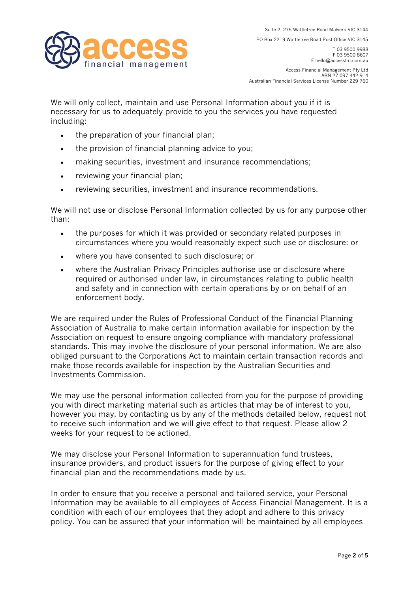financial management

**PO Box 2219 Wattletree Road Post Office VIC 3145** 

**T 03 9500 9988 F 03 9500 8607 E hello@accessfm.com.au** 

**Access Financial Management Pty Ltd ABN 27 097 442 914 Australian Financial Services License Number 229 760** 

**We will only collect, maintain and use Personal Information about you if it is necessary for us to adequately provide to you the services you have requested including:** 

- **the preparation of your financial plan;**
- **the provision of financial planning advice to you;**
- **making securities, investment and insurance recommendations;**
- **reviewing your financial plan;**
- **reviewing securities, investment and insurance recommendations.**

**We will not use or disclose Personal Information collected by us for any purpose other than:** 

- **the purposes for which it was provided or secondary related purposes in circumstances where you would reasonably expect such use or disclosure; or**
- **where you have consented to such disclosure; or**
- **where the Australian Privacy Principles authorise use or disclosure where required or authorised under law, in circumstances relating to public health and safety and in connection with certain operations by or on behalf of an enforcement body.**

**We are required under the Rules of Professional Conduct of the Financial Planning Association of Australia to make certain information available for inspection by the Association on request to ensure ongoing compliance with mandatory professional standards. This may involve the disclosure of your personal information. We are also obliged pursuant to the Corporations Act to maintain certain transaction records and make those records available for inspection by the Australian Securities and Investments Commission.** 

**We may use the personal information collected from you for the purpose of providing you with direct marketing material such as articles that may be of interest to you, however you may, by contacting us by any of the methods detailed below, request not to receive such information and we will give effect to that request. Please allow 2 weeks for your request to be actioned.** 

**We may disclose your Personal Information to superannuation fund trustees, insurance providers, and product issuers for the purpose of giving effect to your financial plan and the recommendations made by us.** 

**In order to ensure that you receive a personal and tailored service, your Personal Information may be available to all employees of Access Financial Management. It is a condition with each of our employees that they adopt and adhere to this privacy policy. You can be assured that your information will be maintained by all employees**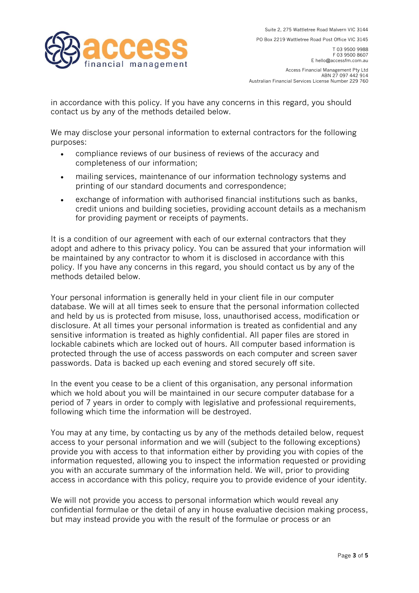financial management

**PO Box 2219 Wattletree Road Post Office VIC 3145** 

**T 03 9500 9988 F 03 9500 8607 E hello@accessfm.com.au** 

**Access Financial Management Pty Ltd ABN 27 097 442 914 Australian Financial Services License Number 229 760** 

**in accordance with this policy. If you have any concerns in this regard, you should contact us by any of the methods detailed below.** 

**We may disclose your personal information to external contractors for the following purposes:** 

- **compliance reviews of our business of reviews of the accuracy and completeness of our information;**
- **mailing services, maintenance of our information technology systems and printing of our standard documents and correspondence;**
- **exchange of information with authorised financial institutions such as banks, credit unions and building societies, providing account details as a mechanism for providing payment or receipts of payments.**

**It is a condition of our agreement with each of our external contractors that they adopt and adhere to this privacy policy. You can be assured that your information will be maintained by any contractor to whom it is disclosed in accordance with this policy. If you have any concerns in this regard, you should contact us by any of the methods detailed below.** 

**Your personal information is generally held in your client file in our computer database. We will at all times seek to ensure that the personal information collected and held by us is protected from misuse, loss, unauthorised access, modification or disclosure. At all times your personal information is treated as confidential and any sensitive information is treated as highly confidential. All paper files are stored in lockable cabinets which are locked out of hours. All computer based information is protected through the use of access passwords on each computer and screen saver passwords. Data is backed up each evening and stored securely off site.** 

**In the event you cease to be a client of this organisation, any personal information which we hold about you will be maintained in our secure computer database for a period of 7 years in order to comply with legislative and professional requirements, following which time the information will be destroyed.** 

**You may at any time, by contacting us by any of the methods detailed below, request access to your personal information and we will (subject to the following exceptions) provide you with access to that information either by providing you with copies of the information requested, allowing you to inspect the information requested or providing you with an accurate summary of the information held. We will, prior to providing access in accordance with this policy, require you to provide evidence of your identity.** 

**We will not provide you access to personal information which would reveal any confidential formulae or the detail of any in house evaluative decision making process, but may instead provide you with the result of the formulae or process or an**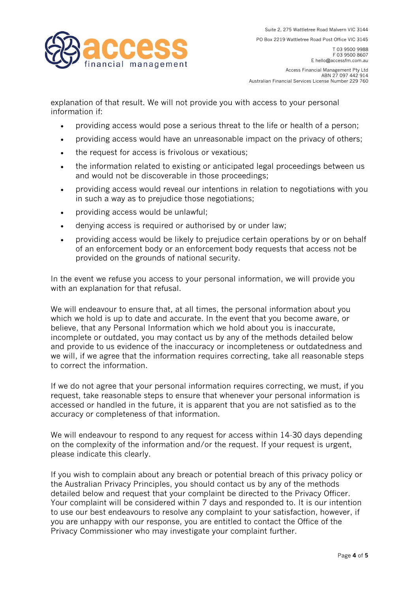

**PO Box 2219 Wattletree Road Post Office VIC 3145** 

**T 03 9500 9988 F 03 9500 8607 E hello@accessfm.com.au** 

**Access Financial Management Pty Ltd ABN 27 097 442 914 Australian Financial Services License Number 229 760** 

**explanation of that result. We will not provide you with access to your personal information if:**

- **providing access would pose a serious threat to the life or health of a person;**
- **providing access would have an unreasonable impact on the privacy of others;**
- **the request for access is frivolous or vexatious;**
- **the information related to existing or anticipated legal proceedings between us and would not be discoverable in those proceedings;**
- **providing access would reveal our intentions in relation to negotiations with you in such a way as to prejudice those negotiations;**
- **providing access would be unlawful;**
- **denying access is required or authorised by or under law;**
- **providing access would be likely to prejudice certain operations by or on behalf of an enforcement body or an enforcement body requests that access not be provided on the grounds of national security.**

**In the event we refuse you access to your personal information, we will provide you with an explanation for that refusal.** 

**We will endeavour to ensure that, at all times, the personal information about you which we hold is up to date and accurate. In the event that you become aware, or believe, that any Personal Information which we hold about you is inaccurate, incomplete or outdated, you may contact us by any of the methods detailed below and provide to us evidence of the inaccuracy or incompleteness or outdatedness and we will, if we agree that the information requires correcting, take all reasonable steps to correct the information.** 

**If we do not agree that your personal information requires correcting, we must, if you request, take reasonable steps to ensure that whenever your personal information is accessed or handled in the future, it is apparent that you are not satisfied as to the accuracy or completeness of that information.** 

**We will endeavour to respond to any request for access within 14-30 days depending on the complexity of the information and/or the request. If your request is urgent, please indicate this clearly.** 

**If you wish to complain about any breach or potential breach of this privacy policy or the Australian Privacy Principles, you should contact us by any of the methods detailed below and request that your complaint be directed to the Privacy Officer. Your complaint will be considered within 7 days and responded to. It is our intention to use our best endeavours to resolve any complaint to your satisfaction, however, if you are unhappy with our response, you are entitled to contact the Office of the Privacy Commissioner who may investigate your complaint further.**